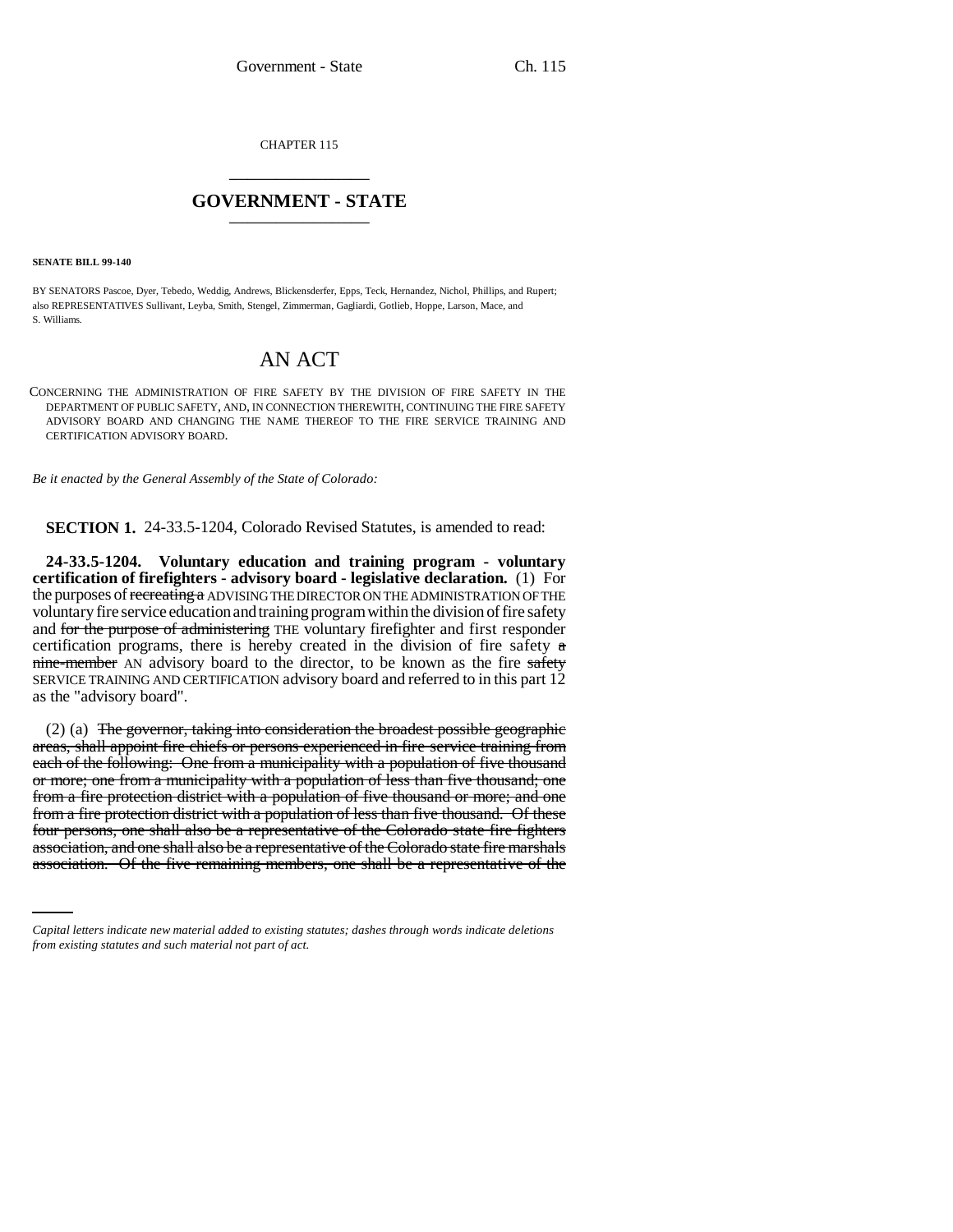CHAPTER 115 \_\_\_\_\_\_\_\_\_\_\_\_\_\_\_

## **GOVERNMENT - STATE** \_\_\_\_\_\_\_\_\_\_\_\_\_\_\_

**SENATE BILL 99-140** 

BY SENATORS Pascoe, Dyer, Tebedo, Weddig, Andrews, Blickensderfer, Epps, Teck, Hernandez, Nichol, Phillips, and Rupert; also REPRESENTATIVES Sullivant, Leyba, Smith, Stengel, Zimmerman, Gagliardi, Gotlieb, Hoppe, Larson, Mace, and S. Williams.

## AN ACT

CONCERNING THE ADMINISTRATION OF FIRE SAFETY BY THE DIVISION OF FIRE SAFETY IN THE DEPARTMENT OF PUBLIC SAFETY, AND, IN CONNECTION THEREWITH, CONTINUING THE FIRE SAFETY ADVISORY BOARD AND CHANGING THE NAME THEREOF TO THE FIRE SERVICE TRAINING AND CERTIFICATION ADVISORY BOARD.

*Be it enacted by the General Assembly of the State of Colorado:*

**SECTION 1.** 24-33.5-1204, Colorado Revised Statutes, is amended to read:

**24-33.5-1204. Voluntary education and training program - voluntary certification of firefighters - advisory board - legislative declaration.** (1) For the purposes of recreating a ADVISING THE DIRECTOR ON THE ADMINISTRATION OF THE voluntary fire service education and training program within the division of fire safety and for the purpose of administering THE voluntary firefighter and first responder certification programs, there is hereby created in the division of fire safety  $\alpha$ nine-member AN advisory board to the director, to be known as the fire safety SERVICE TRAINING AND CERTIFICATION advisory board and referred to in this part 12 as the "advisory board".

four persons, one shall also be a representative of the Colorado state fire fighters (2) (a) The governor, taking into consideration the broadest possible geographic areas, shall appoint fire chiefs or persons experienced in fire service training from each of the following: One from a municipality with a population of five thousand or more; one from a municipality with a population of less than five thousand; one from a fire protection district with a population of five thousand or more; and one from a fire protection district with a population of less than five thousand. Of these association, and one shall also be a representative of the Colorado state fire marshals association. Of the five remaining members, one shall be a representative of the

*Capital letters indicate new material added to existing statutes; dashes through words indicate deletions from existing statutes and such material not part of act.*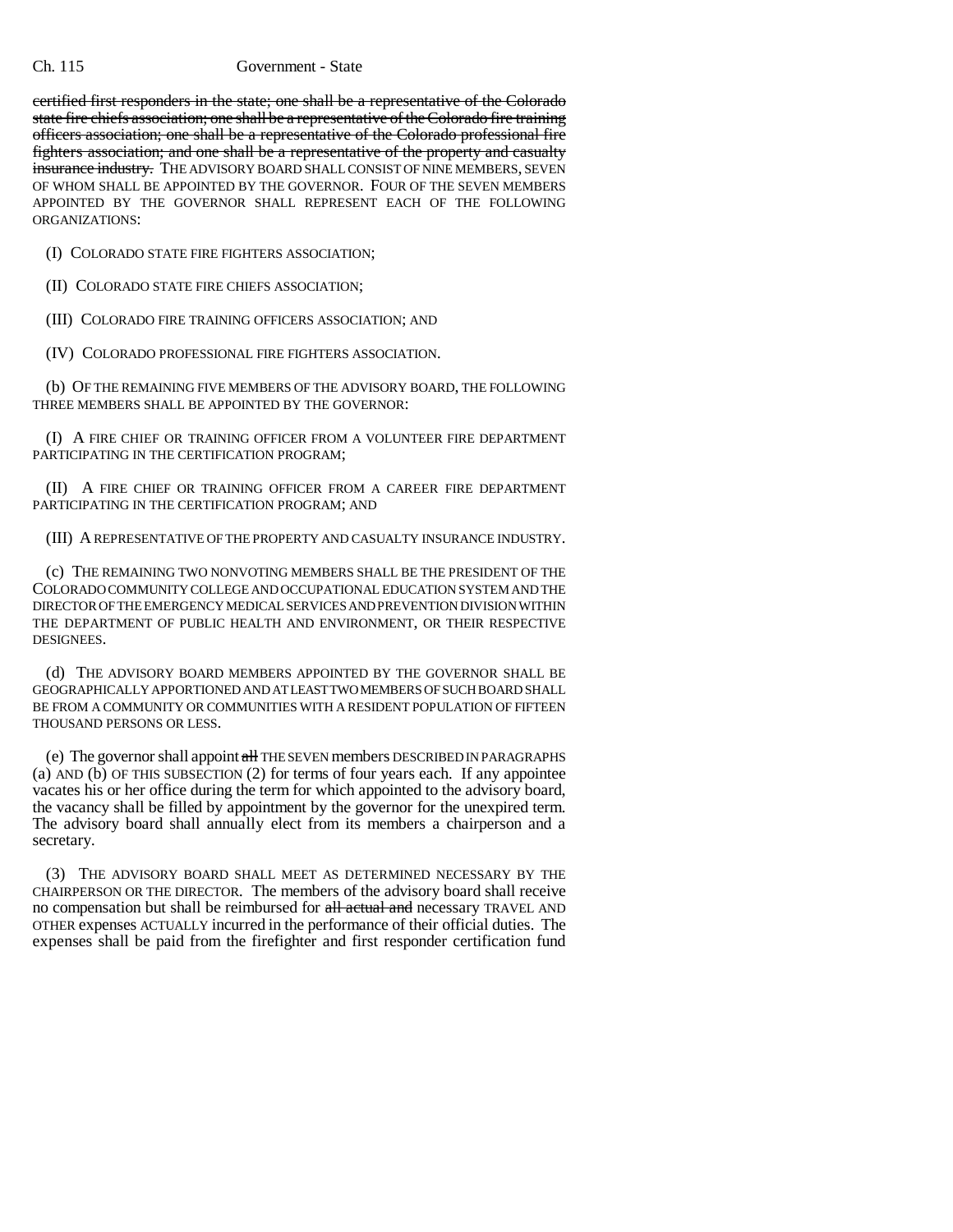## Ch. 115 Government - State

certified first responders in the state; one shall be a representative of the Colorado state fire chiefs association; one shall be a representative of the Colorado fire training officers association; one shall be a representative of the Colorado professional fire fighters association; and one shall be a representative of the property and casualty insurance industry. THE ADVISORY BOARD SHALL CONSIST OF NINE MEMBERS, SEVEN OF WHOM SHALL BE APPOINTED BY THE GOVERNOR. FOUR OF THE SEVEN MEMBERS APPOINTED BY THE GOVERNOR SHALL REPRESENT EACH OF THE FOLLOWING ORGANIZATIONS:

(I) COLORADO STATE FIRE FIGHTERS ASSOCIATION;

(II) COLORADO STATE FIRE CHIEFS ASSOCIATION;

(III) COLORADO FIRE TRAINING OFFICERS ASSOCIATION; AND

(IV) COLORADO PROFESSIONAL FIRE FIGHTERS ASSOCIATION.

(b) OF THE REMAINING FIVE MEMBERS OF THE ADVISORY BOARD, THE FOLLOWING THREE MEMBERS SHALL BE APPOINTED BY THE GOVERNOR:

(I) A FIRE CHIEF OR TRAINING OFFICER FROM A VOLUNTEER FIRE DEPARTMENT PARTICIPATING IN THE CERTIFICATION PROGRAM;

(II) A FIRE CHIEF OR TRAINING OFFICER FROM A CAREER FIRE DEPARTMENT PARTICIPATING IN THE CERTIFICATION PROGRAM; AND

(III) A REPRESENTATIVE OF THE PROPERTY AND CASUALTY INSURANCE INDUSTRY.

(c) THE REMAINING TWO NONVOTING MEMBERS SHALL BE THE PRESIDENT OF THE COLORADO COMMUNITY COLLEGE AND OCCUPATIONAL EDUCATION SYSTEM AND THE DIRECTOR OF THE EMERGENCY MEDICAL SERVICES AND PREVENTION DIVISION WITHIN THE DEPARTMENT OF PUBLIC HEALTH AND ENVIRONMENT, OR THEIR RESPECTIVE DESIGNEES.

(d) THE ADVISORY BOARD MEMBERS APPOINTED BY THE GOVERNOR SHALL BE GEOGRAPHICALLY APPORTIONED AND AT LEAST TWO MEMBERS OF SUCH BOARD SHALL BE FROM A COMMUNITY OR COMMUNITIES WITH A RESIDENT POPULATION OF FIFTEEN THOUSAND PERSONS OR LESS.

(e) The governor shall appoint all THE SEVEN members DESCRIBED IN PARAGRAPHS (a) AND  $(b)$  OF THIS SUBSECTION (2) for terms of four years each. If any appointee vacates his or her office during the term for which appointed to the advisory board, the vacancy shall be filled by appointment by the governor for the unexpired term. The advisory board shall annually elect from its members a chairperson and a secretary.

(3) THE ADVISORY BOARD SHALL MEET AS DETERMINED NECESSARY BY THE CHAIRPERSON OR THE DIRECTOR. The members of the advisory board shall receive no compensation but shall be reimbursed for all actual and necessary TRAVEL AND OTHER expenses ACTUALLY incurred in the performance of their official duties. The expenses shall be paid from the firefighter and first responder certification fund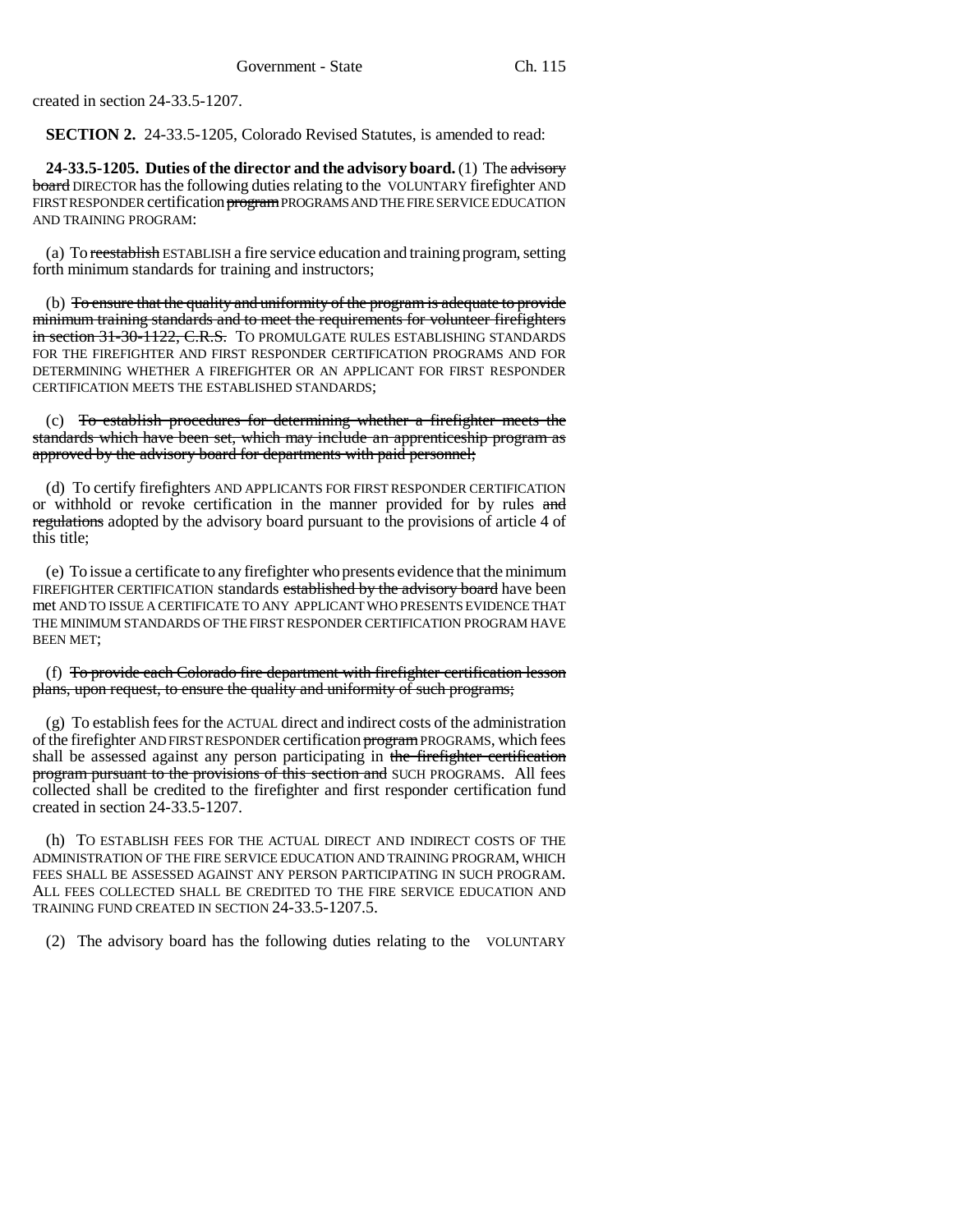created in section 24-33.5-1207.

**SECTION 2.** 24-33.5-1205, Colorado Revised Statutes, is amended to read:

**24-33.5-1205. Duties of the director and the advisory board.** (1) The advisory board DIRECTOR has the following duties relating to the VOLUNTARY firefighter AND FIRST RESPONDER certification program PROGRAMS AND THE FIRE SERVICE EDUCATION AND TRAINING PROGRAM:

(a) To reestablish ESTABLISH a fire service education and training program, setting forth minimum standards for training and instructors;

(b) To ensure that the quality and uniformity of the program is adequate to provide minimum training standards and to meet the requirements for volunteer firefighters in section 31-30-1122, C.R.S. TO PROMULGATE RULES ESTABLISHING STANDARDS FOR THE FIREFIGHTER AND FIRST RESPONDER CERTIFICATION PROGRAMS AND FOR DETERMINING WHETHER A FIREFIGHTER OR AN APPLICANT FOR FIRST RESPONDER CERTIFICATION MEETS THE ESTABLISHED STANDARDS;

(c) To establish procedures for determining whether a firefighter meets the standards which have been set, which may include an apprenticeship program as approved by the advisory board for departments with paid personnel;

(d) To certify firefighters AND APPLICANTS FOR FIRST RESPONDER CERTIFICATION or withhold or revoke certification in the manner provided for by rules and regulations adopted by the advisory board pursuant to the provisions of article 4 of this title;

(e) To issue a certificate to any firefighter who presents evidence that the minimum FIREFIGHTER CERTIFICATION standards established by the advisory board have been met AND TO ISSUE A CERTIFICATE TO ANY APPLICANT WHO PRESENTS EVIDENCE THAT THE MINIMUM STANDARDS OF THE FIRST RESPONDER CERTIFICATION PROGRAM HAVE BEEN MET;

(f) To provide each Colorado fire department with firefighter certification lesson plans, upon request, to ensure the quality and uniformity of such programs;

(g) To establish fees for the ACTUAL direct and indirect costs of the administration of the firefighter AND FIRST RESPONDER certification program PROGRAMS, which fees shall be assessed against any person participating in the firefighter certification program pursuant to the provisions of this section and SUCH PROGRAMS. All fees collected shall be credited to the firefighter and first responder certification fund created in section 24-33.5-1207.

(h) TO ESTABLISH FEES FOR THE ACTUAL DIRECT AND INDIRECT COSTS OF THE ADMINISTRATION OF THE FIRE SERVICE EDUCATION AND TRAINING PROGRAM, WHICH FEES SHALL BE ASSESSED AGAINST ANY PERSON PARTICIPATING IN SUCH PROGRAM. ALL FEES COLLECTED SHALL BE CREDITED TO THE FIRE SERVICE EDUCATION AND TRAINING FUND CREATED IN SECTION 24-33.5-1207.5.

(2) The advisory board has the following duties relating to the VOLUNTARY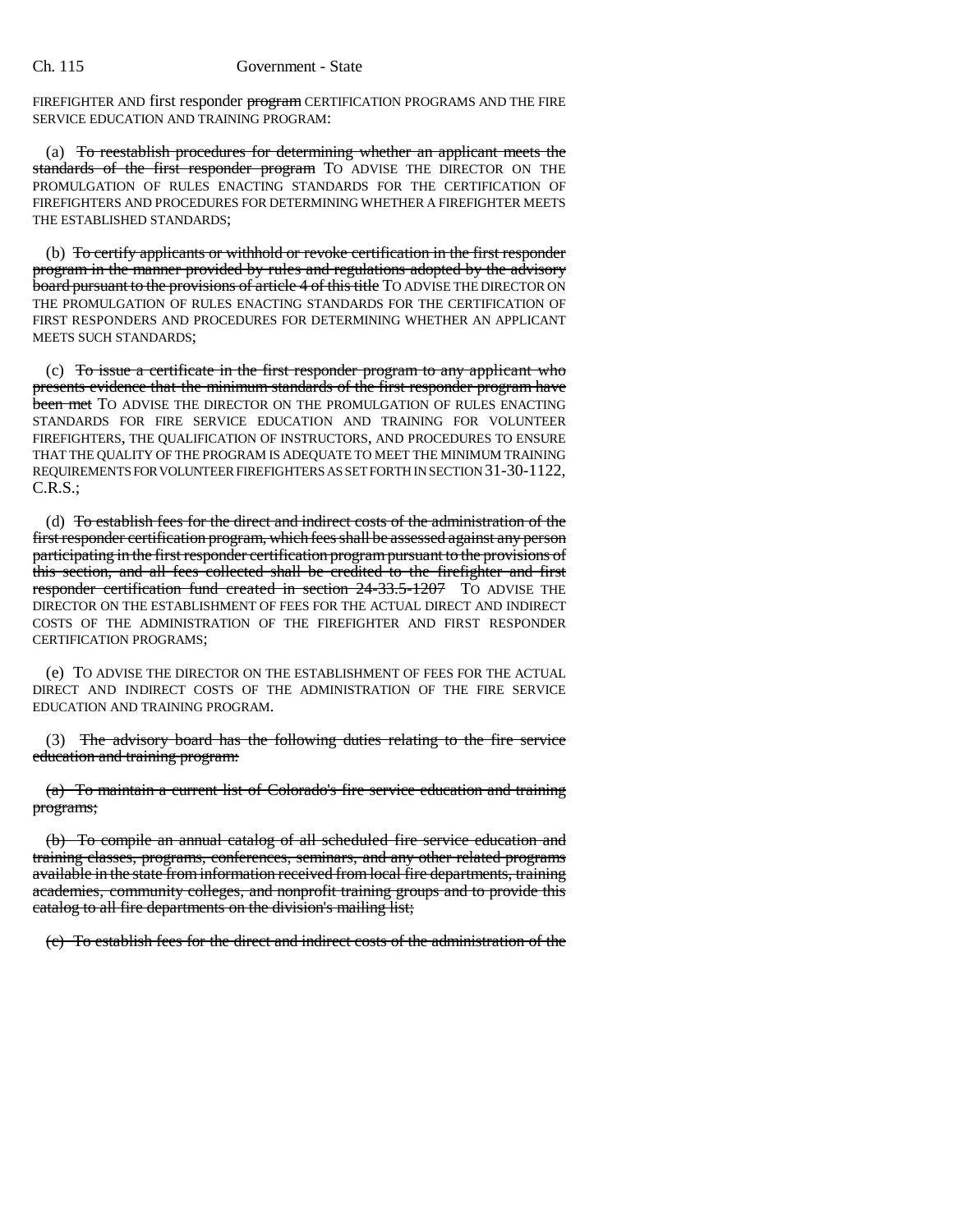FIREFIGHTER AND first responder program CERTIFICATION PROGRAMS AND THE FIRE SERVICE EDUCATION AND TRAINING PROGRAM:

(a) To reestablish procedures for determining whether an applicant meets the standards of the first responder program TO ADVISE THE DIRECTOR ON THE PROMULGATION OF RULES ENACTING STANDARDS FOR THE CERTIFICATION OF FIREFIGHTERS AND PROCEDURES FOR DETERMINING WHETHER A FIREFIGHTER MEETS THE ESTABLISHED STANDARDS'

(b) To certify applicants or withhold or revoke certification in the first responder program in the manner provided by rules and regulations adopted by the advisory board pursuant to the provisions of article 4 of this title TO ADVISE THE DIRECTOR ON THE PROMULGATION OF RULES ENACTING STANDARDS FOR THE CERTIFICATION OF FIRST RESPONDERS AND PROCEDURES FOR DETERMINING WHETHER AN APPLICANT MEETS SUCH STANDARDS;

(c) To issue a certificate in the first responder program to any applicant who presents evidence that the minimum standards of the first responder program have been met TO ADVISE THE DIRECTOR ON THE PROMULGATION OF RULES ENACTING STANDARDS FOR FIRE SERVICE EDUCATION AND TRAINING FOR VOLUNTEER FIREFIGHTERS, THE QUALIFICATION OF INSTRUCTORS, AND PROCEDURES TO ENSURE THAT THE QUALITY OF THE PROGRAM IS ADEQUATE TO MEET THE MINIMUM TRAINING REQUIREMENTS FOR VOLUNTEER FIREFIGHTERS AS SET FORTH IN SECTION 31-30-1122, C.R.S.;

(d) To establish fees for the direct and indirect costs of the administration of the first responder certification program, which fees shall be assessed against any person participating in the first responder certification program pursuant to the provisions of this section, and all fees collected shall be credited to the firefighter and first responder certification fund created in section 24-33.5-1207 To ADVISE THE DIRECTOR ON THE ESTABLISHMENT OF FEES FOR THE ACTUAL DIRECT AND INDIRECT COSTS OF THE ADMINISTRATION OF THE FIREFIGHTER AND FIRST RESPONDER CERTIFICATION PROGRAMS;

(e) TO ADVISE THE DIRECTOR ON THE ESTABLISHMENT OF FEES FOR THE ACTUAL DIRECT AND INDIRECT COSTS OF THE ADMINISTRATION OF THE FIRE SERVICE EDUCATION AND TRAINING PROGRAM.

(3) The advisory board has the following duties relating to the fire service education and training program:

(a) To maintain a current list of Colorado's fire service education and training programs;

(b) To compile an annual catalog of all scheduled fire service education and training classes, programs, conferences, seminars, and any other related programs available in the state from information received from local fire departments, training academies, community colleges, and nonprofit training groups and to provide this catalog to all fire departments on the division's mailing list;

(c) To establish fees for the direct and indirect costs of the administration of the